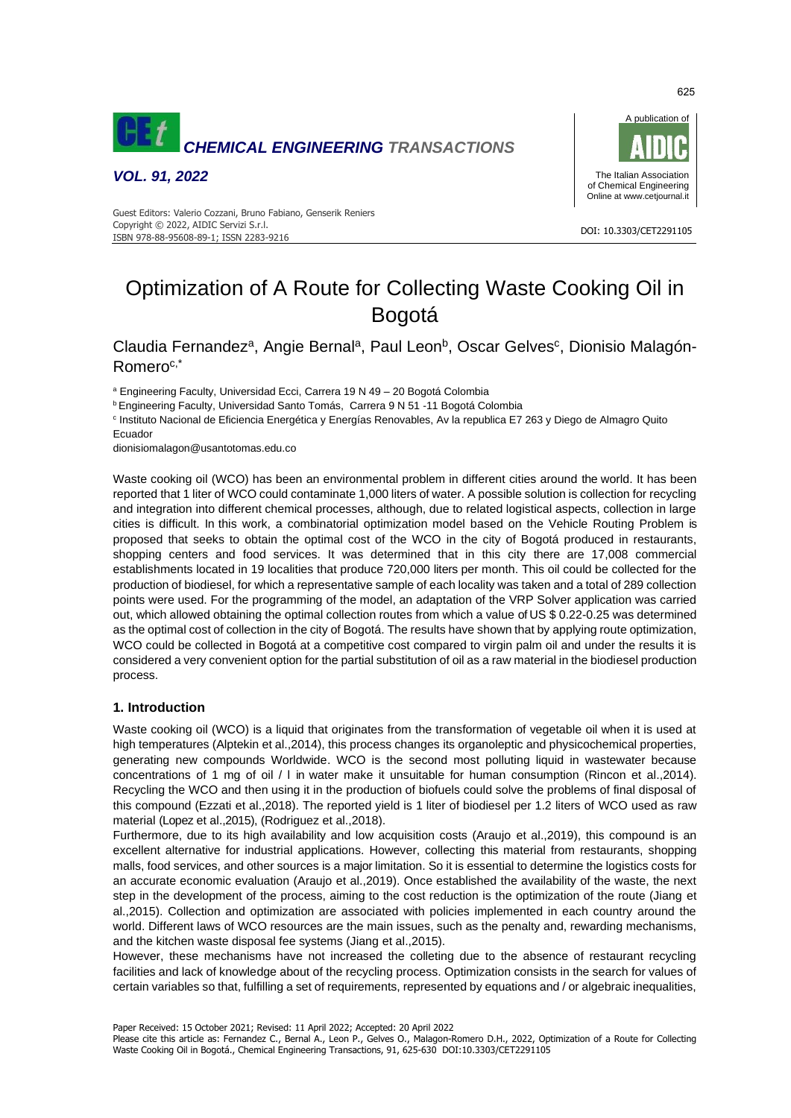

*VOL. 91, 2022*



#### DOI: 10.3303/CET2291105 ISBN 978-88-95608-89-1; ISSN 2283-9216 Guest Editors: Valerio Cozzani, Bruno Fabiano, Genserik Reniers Copyright © 2022, AIDIC Servizi S.r.l.

# Optimization of A Route for Collecting Waste Cooking Oil in Bogotá

Claudia Fernandez<sup>a</sup>, Angie Bernal<sup>a</sup>, Paul Leon<sup>b</sup>, Oscar Gelves<sup>c</sup>, Dionisio Malagón-Romeroc,\*

<sup>a</sup> Engineering Faculty, Universidad Ecci, Carrera 19 N 49 – 20 Bogotá Colombia

<sup>b</sup> Engineering Faculty, Universidad Santo Tomás, Carrera 9 N 51 -11 Bogotá Colombia

c Instituto Nacional de Eficiencia Energética y Energías Renovables, Av la republica E7 263 y Diego de Almagro Quito **Ecuador** 

dionisiomalagon@usantotomas.edu.co

Waste cooking oil (WCO) has been an environmental problem in different cities around the world. It has been reported that 1 liter of WCO could contaminate 1,000 liters of water. A possible solution is collection for recycling and integration into different chemical processes, although, due to related logistical aspects, collection in large cities is difficult. In this work, a combinatorial optimization model based on the Vehicle Routing Problem is proposed that seeks to obtain the optimal cost of the WCO in the city of Bogotá produced in restaurants, shopping centers and food services. It was determined that in this city there are 17,008 commercial establishments located in 19 localities that produce 720,000 liters per month. This oil could be collected for the production of biodiesel, for which a representative sample of each locality was taken and a total of 289 collection points were used. For the programming of the model, an adaptation of the VRP Solver application was carried out, which allowed obtaining the optimal collection routes from which a value of US \$ 0.22-0.25 was determined as the optimal cost of collection in the city of Bogotá. The results have shown that by applying route optimization, WCO could be collected in Bogotá at a competitive cost compared to virgin palm oil and under the results it is considered a very convenient option for the partial substitution of oil as a raw material in the biodiesel production process.

## **1. Introduction**

Waste cooking oil (WCO) is a liquid that originates from the transformation of vegetable oil when it is used at high temperatures (Alptekin et al., 2014), this process changes its organoleptic and physicochemical properties, generating new compounds Worldwide. WCO is the second most polluting liquid in wastewater because concentrations of 1 mg of oil / l in water make it unsuitable for human consumption (Rincon et al.,2014). Recycling the WCO and then using it in the production of biofuels could solve the problems of final disposal of this compound (Ezzati et al.,2018). The reported yield is 1 liter of biodiesel per 1.2 liters of WCO used as raw material (Lopez et al.,2015), (Rodriguez et al.,2018).

Furthermore, due to its high availability and low acquisition costs (Araujo et al.,2019), this compound is an excellent alternative for industrial applications. However, collecting this material from restaurants, shopping malls, food services, and other sources is a major limitation. So it is essential to determine the logistics costs for an accurate economic evaluation (Araujo et al.,2019). Once established the availability of the waste, the next step in the development of the process, aiming to the cost reduction is the optimization of the route (Jiang et al.,2015). Collection and optimization are associated with policies implemented in each country around the world. Different laws of WCO resources are the main issues, such as the penalty and, rewarding mechanisms, and the kitchen waste disposal fee systems (Jiang et al.,2015).

However, these mechanisms have not increased the colleting due to the absence of restaurant recycling facilities and lack of knowledge about of the recycling process. Optimization consists in the search for values of certain variables so that, fulfilling a set of requirements, represented by equations and / or algebraic inequalities,

Paper Received: 15 October 2021; Revised: 11 April 2022; Accepted: 20 April 2022

625

Please cite this article as: Fernandez C., Bernal A., Leon P., Gelves O., Malagon-Romero D.H., 2022, Optimization of a Route for Collecting Waste Cooking Oil in Bogotá., Chemical Engineering Transactions, 91, 625-630 DOI:10.3303/CET2291105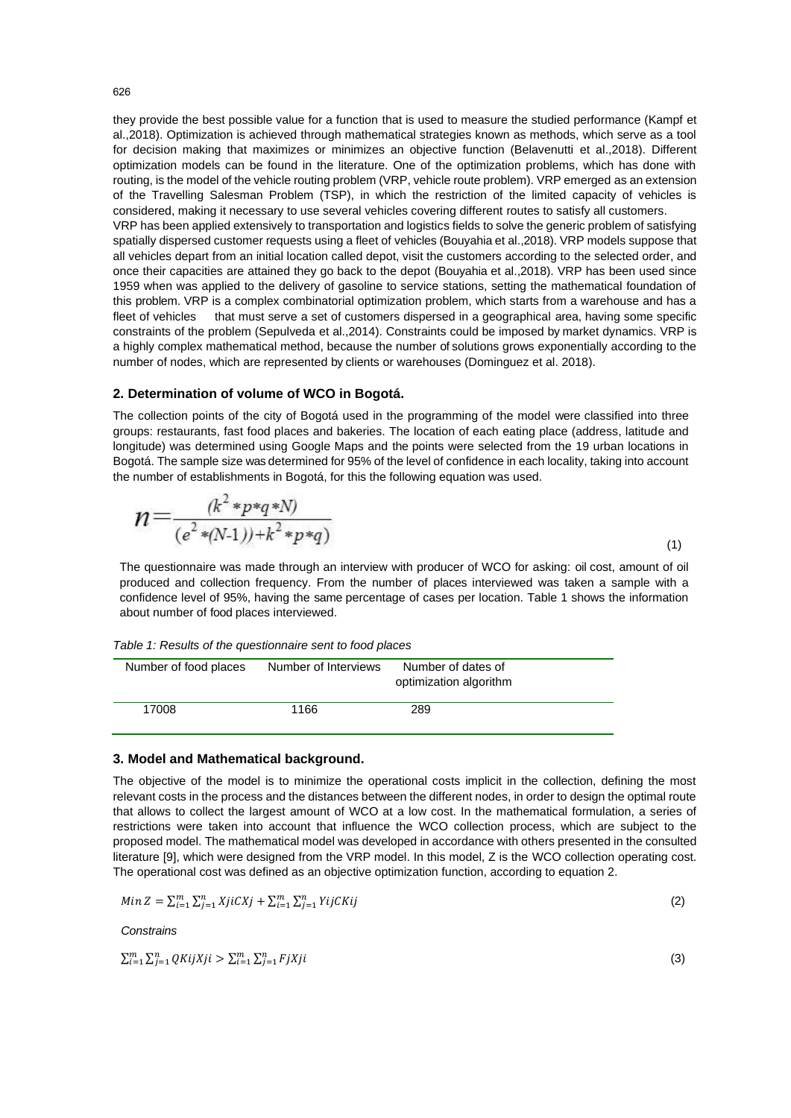they provide the best possible value for a function that is used to measure the studied performance (Kampf et al.,2018). Optimization is achieved through mathematical strategies known as methods, which serve as a tool for decision making that maximizes or minimizes an objective function (Belavenutti et al.,2018). Different optimization models can be found in the literature. One of the optimization problems, which has done with routing, is the model of the vehicle routing problem (VRP, vehicle route problem). VRP emerged as an extension of the Travelling Salesman Problem (TSP), in which the restriction of the limited capacity of vehicles is considered, making it necessary to use several vehicles covering different routes to satisfy all customers.

VRP has been applied extensively to transportation and logistics fields to solve the generic problem of satisfying spatially dispersed customer requests using a fleet of vehicles (Bouyahia et al.,2018). VRP models suppose that all vehicles depart from an initial location called depot, visit the customers according to the selected order, and once their capacities are attained they go back to the depot (Bouyahia et al.,2018). VRP has been used since 1959 when was applied to the delivery of gasoline to service stations, setting the mathematical foundation of this problem. VRP is a complex combinatorial optimization problem, which starts from a warehouse and has a fleet of vehicles that must serve a set of customers dispersed in a geographical area, having some specific constraints of the problem (Sepulveda et al.,2014). Constraints could be imposed by market dynamics. VRP is a highly complex mathematical method, because the number of solutions grows exponentially according to the number of nodes, which are represented by clients or warehouses (Dominguez et al. 2018).

## **2. Determination of volume of WCO in Bogotá.**

The collection points of the city of Bogotá used in the programming of the model were classified into three groups: restaurants, fast food places and bakeries. The location of each eating place (address, latitude and longitude) was determined using Google Maps and the points were selected from the 19 urban locations in Bogotá. The sample size was determined for 95% of the level of confidence in each locality, taking into account the number of establishments in Bogotá, for this the following equation was used.

$$
n = \frac{(k^2 * p * q * N)}{(e^2 * (N-1)) + k^2 * p * q)}
$$
\n(1)

The questionnaire was made through an interview with producer of WCO for asking: oil cost, amount of oil produced and collection frequency. From the number of places interviewed was taken a sample with a confidence level of 95%, having the same percentage of cases per location. Table 1 shows the information about number of food places interviewed.

*Table 1: Results of the questionnaire sent to food places* 

| Number of food places | Number of Interviews | Number of dates of<br>optimization algorithm |  |
|-----------------------|----------------------|----------------------------------------------|--|
| 17008                 | 1166                 | 289                                          |  |

#### **3. Model and Mathematical background.**

The objective of the model is to minimize the operational costs implicit in the collection, defining the most relevant costs in the process and the distances between the different nodes, in order to design the optimal route that allows to collect the largest amount of WCO at a low cost. In the mathematical formulation, a series of restrictions were taken into account that influence the WCO collection process, which are subject to the proposed model. The mathematical model was developed in accordance with others presented in the consulted literature [9], which were designed from the VRP model. In this model, Z is the WCO collection operating cost. The operational cost was defined as an objective optimization function, according to equation 2.

Min 
$$
Z = \sum_{i=1}^{m} \sum_{j=1}^{n} XjiCXj + \sum_{i=1}^{m} \sum_{j=1}^{n} YijCKij
$$

(2)

(3)

*Constrains*

 $\sum_{i=1}^m \sum_{j=1}^n QKijXji > \sum_{i=1}^m \sum_{j=1}^n FjXji$ 

626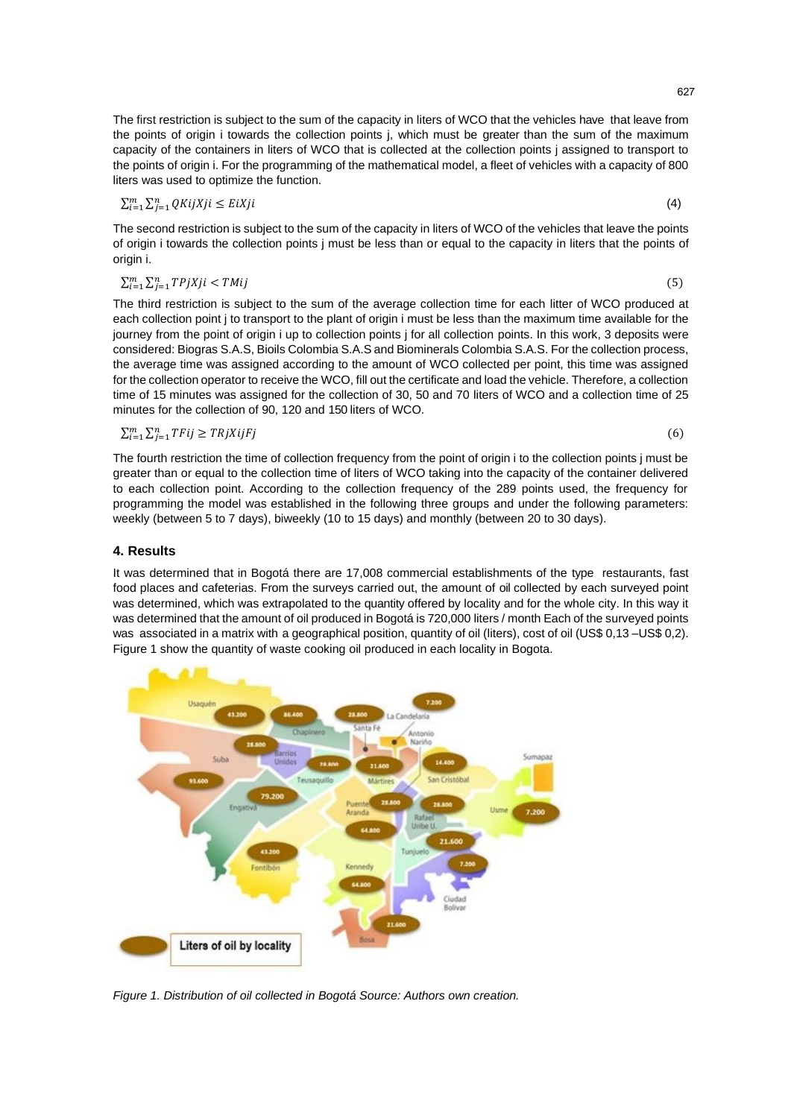The first restriction is subject to the sum of the capacity in liters of WCO that the vehicles have that leave from the points of origin i towards the collection points j, which must be greater than the sum of the maximum capacity of the containers in liters of WCO that is collected at the collection points j assigned to transport to the points of origin i. For the programming of the mathematical model, a fleet of vehicles with a capacity of 800 liters was used to optimize the function.

$$
\sum_{i=1}^{m} \sum_{j=1}^{n} QKijXji \le EiXji
$$

The second restriction is subject to the sum of the capacity in liters of WCO of the vehicles that leave the points of origin i towards the collection points j must be less than or equal to the capacity in liters that the points of origin i.

$$
\sum_{i=1}^{m} \sum_{j=1}^{n} TPjXji < TMij
$$
\n
$$
(5)
$$

The third restriction is subject to the sum of the average collection time for each litter of WCO produced at each collection point j to transport to the plant of origin i must be less than the maximum time available for the journey from the point of origin i up to collection points j for all collection points. In this work, 3 deposits were considered: Biogras S.A.S, Bioils Colombia S.A.S and Biominerals Colombia S.A.S. For the collection process, the average time was assigned according to the amount of WCO collected per point, this time was assigned for the collection operator to receive the WCO, fill out the certificate and load the vehicle. Therefore, a collection time of 15 minutes was assigned for the collection of 30, 50 and 70 liters of WCO and a collection time of 25 minutes for the collection of 90, 120 and 150 liters of WCO.

$$
\sum_{i=1}^{m} \sum_{j=1}^{n} TFij \geq TRjXijFj \tag{6}
$$

The fourth restriction the time of collection frequency from the point of origin i to the collection points j must be greater than or equal to the collection time of liters of WCO taking into the capacity of the container delivered to each collection point. According to the collection frequency of the 289 points used, the frequency for programming the model was established in the following three groups and under the following parameters: weekly (between 5 to 7 days), biweekly (10 to 15 days) and monthly (between 20 to 30 days).

# **4. Results**

It was determined that in Bogotá there are 17,008 commercial establishments of the type restaurants, fast food places and cafeterias. From the surveys carried out, the amount of oil collected by each surveyed point was determined, which was extrapolated to the quantity offered by locality and for the whole city. In this way it was determined that the amount of oil produced in Bogotá is 720,000 liters / month Each of the surveyed points was associated in a matrix with a geographical position, quantity of oil (liters), cost of oil (US\$ 0,13 –US\$ 0,2). Figure 1 show the quantity of waste cooking oil produced in each locality in Bogota.



*Figure 1. Distribution of oil collected in Bogotá Source: Authors own creation.*

(4)

 $(5)$ 

 $(6)$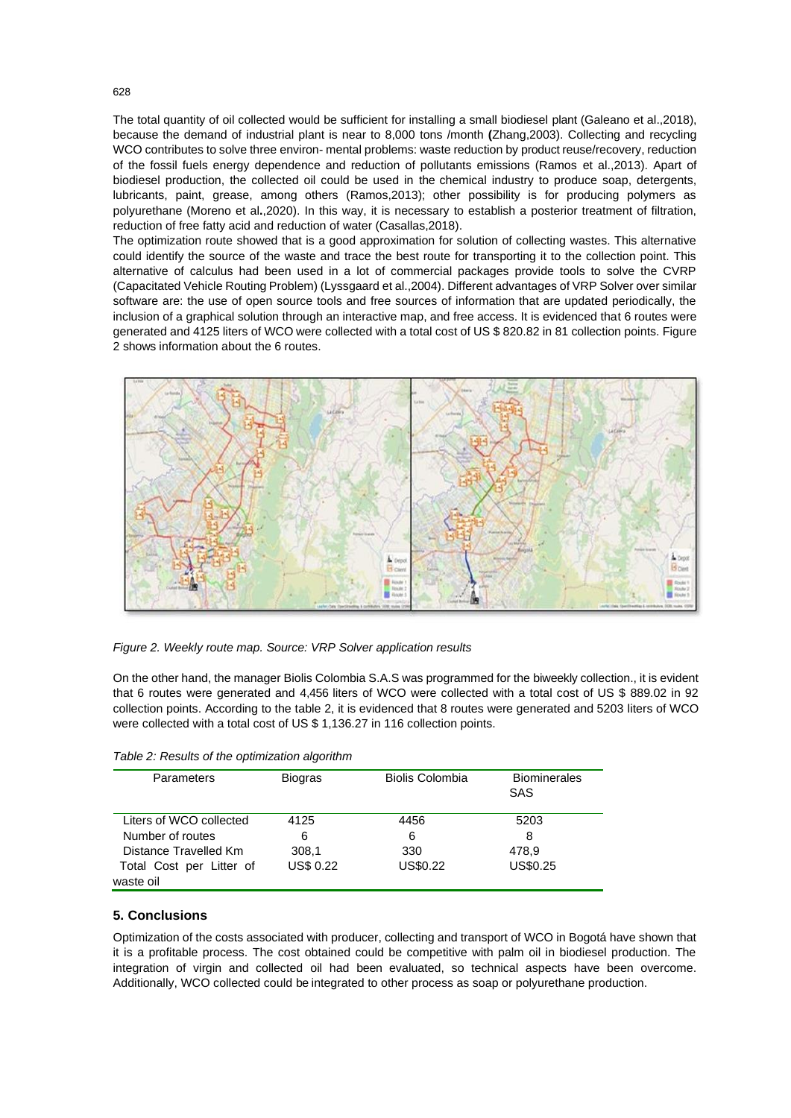The total quantity of oil collected would be sufficient for installing a small biodiesel plant (Galeano et al.,2018), because the demand of industrial plant is near to 8,000 tons /month **(**Zhang,2003). Collecting and recycling WCO contributes to solve three environ- mental problems: waste reduction by product reuse/recovery, reduction of the fossil fuels energy dependence and reduction of pollutants emissions (Ramos et al.,2013). Apart of biodiesel production, the collected oil could be used in the chemical industry to produce soap, detergents, lubricants, paint, grease, among others (Ramos,2013); other possibility is for producing polymers as polyurethane (Moreno et al**.**,2020). In this way, it is necessary to establish a posterior treatment of filtration, reduction of free fatty acid and reduction of water (Casallas,2018).

The optimization route showed that is a good approximation for solution of collecting wastes. This alternative could identify the source of the waste and trace the best route for transporting it to the collection point. This alternative of calculus had been used in a lot of commercial packages provide tools to solve the CVRP (Capacitated Vehicle Routing Problem) (Lyssgaard et al.,2004). Different advantages of VRP Solver over similar software are: the use of open source tools and free sources of information that are updated periodically, the inclusion of a graphical solution through an interactive map, and free access. It is evidenced that 6 routes were generated and 4125 liters of WCO were collected with a total cost of US \$ 820.82 in 81 collection points. Figure 2 shows information about the 6 routes.



*Figure 2. Weekly route map. Source: VRP Solver application results*

On the other hand, the manager Biolis Colombia S.A.S was programmed for the biweekly collection., it is evident that 6 routes were generated and 4,456 liters of WCO were collected with a total cost of US \$ 889.02 in 92 collection points. According to the table 2, it is evidenced that 8 routes were generated and 5203 liters of WCO were collected with a total cost of US \$ 1,136.27 in 116 collection points.

| Parameters               | <b>Biogras</b> | <b>Biolis Colombia</b> | <b>Biominerales</b> |
|--------------------------|----------------|------------------------|---------------------|
|                          |                |                        | SAS                 |
| Liters of WCO collected  | 4125           | 4456                   | 5203                |
| Number of routes         | 6              | 6                      | 8                   |
| Distance Travelled Km    | 308.1          | 330                    | 478,9               |
| Total Cost per Litter of | US\$ 0.22      | US\$0.22               | US\$0.25            |
| waste oil                |                |                        |                     |

*Table 2: Results of the optimization algorithm*

# **5. Conclusions**

Optimization of the costs associated with producer, collecting and transport of WCO in Bogotá have shown that it is a profitable process. The cost obtained could be competitive with palm oil in biodiesel production. The integration of virgin and collected oil had been evaluated, so technical aspects have been overcome. Additionally, WCO collected could be integrated to other process as soap or polyurethane production.

628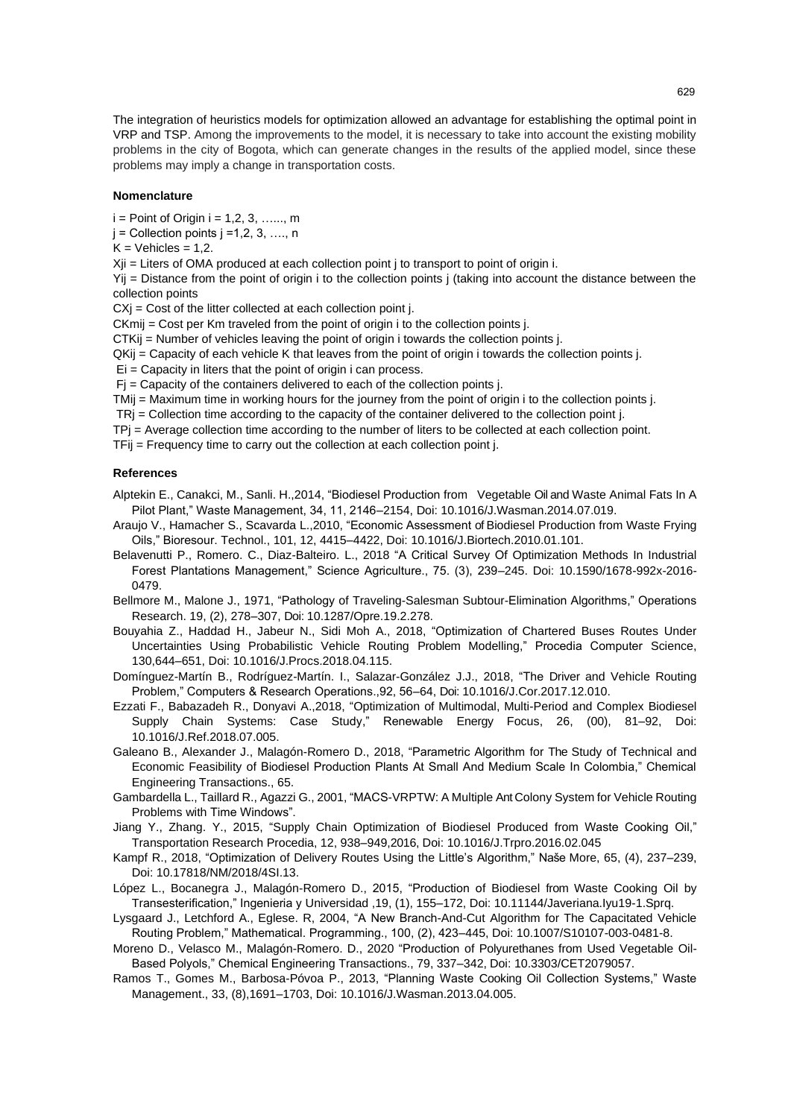The integration of heuristics models for optimization allowed an advantage for establishing the optimal point in VRP and TSP. Among the improvements to the model, it is necessary to take into account the existing mobility problems in the city of Bogota, which can generate changes in the results of the applied model, since these problems may imply a change in transportation costs.

#### **Nomenclature**

 $i =$  Point of Origin  $i = 1, 2, 3, \ldots, m$ 

 $j =$  Collection points  $j = 1, 2, 3, \ldots, n$ 

 $K =$  Vehicles = 1,2.

 $Xi$  = Liters of OMA produced at each collection point j to transport to point of origin i.

Yij = Distance from the point of origin i to the collection points j (taking into account the distance between the collection points

 $CX<sub>i</sub> = Cost of the litter collected at each collection point *j*.$ 

CKmij = Cost per Km traveled from the point of origin i to the collection points j.

CTKij = Number of vehicles leaving the point of origin i towards the collection points j.

QKij = Capacity of each vehicle K that leaves from the point of origin i towards the collection points j.

Ei = Capacity in liters that the point of origin i can process.

Fj = Capacity of the containers delivered to each of the collection points j.

TMij = Maximum time in working hours for the journey from the point of origin i to the collection points j.

TRj = Collection time according to the capacity of the container delivered to the collection point j.

TPj = Average collection time according to the number of liters to be collected at each collection point.

TFij = Frequency time to carry out the collection at each collection point j.

## **References**

- Alptekin E., Canakci, M., Sanli. H.,2014, "Biodiesel Production from Vegetable Oil and Waste Animal Fats In A Pilot Plant," Waste Management, 34, 11, 2146–2154, Doi: 10.1016/J.Wasman.2014.07.019.
- Araujo V., Hamacher S., Scavarda L.,2010, "Economic Assessment of Biodiesel Production from Waste Frying Oils," Bioresour. Technol., 101, 12, 4415–4422, Doi: 10.1016/J.Biortech.2010.01.101.
- Belavenutti P., Romero. C., Diaz-Balteiro. L., 2018 "A Critical Survey Of Optimization Methods In Industrial Forest Plantations Management," Science Agriculture., 75. (3), 239–245. Doi: 10.1590/1678-992x-2016- 0479.
- Bellmore M., Malone J., 1971, "Pathology of Traveling-Salesman Subtour-Elimination Algorithms," Operations Research. 19, (2), 278–307, Doi: 10.1287/Opre.19.2.278.
- Bouyahia Z., Haddad H., Jabeur N., Sidi Moh A., 2018, "Optimization of Chartered Buses Routes Under Uncertainties Using Probabilistic Vehicle Routing Problem Modelling," Procedia Computer Science, 130,644–651, Doi: 10.1016/J.Procs.2018.04.115.
- Domínguez-Martín B., Rodríguez-Martín. I., Salazar-González J.J., 2018, "The Driver and Vehicle Routing Problem," Computers & Research Operations.,92, 56–64, Doi: 10.1016/J.Cor.2017.12.010.
- Ezzati F., Babazadeh R., Donyavi A.,2018, "Optimization of Multimodal, Multi-Period and Complex Biodiesel Supply Chain Systems: Case Study," Renewable Energy Focus, 26, (00), 81–92, Doi: 10.1016/J.Ref.2018.07.005.
- Galeano B., Alexander J., Malagón-Romero D., 2018, "Parametric Algorithm for The Study of Technical and Economic Feasibility of Biodiesel Production Plants At Small And Medium Scale In Colombia," Chemical Engineering Transactions., 65.
- Gambardella L., Taillard R., Agazzi G., 2001, "MACS-VRPTW: A Multiple Ant Colony System for Vehicle Routing Problems with Time Windows".
- Jiang Y., Zhang. Y., 2015, "Supply Chain Optimization of Biodiesel Produced from Waste Cooking Oil," Transportation Research Procedia, 12, 938–949,2016, Doi: 10.1016/J.Trpro.2016.02.045
- Kampf R., 2018, "Optimization of Delivery Routes Using the Little's Algorithm," Naše More, 65, (4), 237–239, Doi: 10.17818/NM/2018/4SI.13.
- López L., Bocanegra J., Malagón-Romero D., 2015, "Production of Biodiesel from Waste Cooking Oil by Transesterification," Ingenieria y Universidad ,19, (1), 155–172, Doi: 10.11144/Javeriana.Iyu19-1.Sprq.
- Lysgaard J., Letchford A., Eglese. R, 2004, "A New Branch-And-Cut Algorithm for The Capacitated Vehicle Routing Problem," Mathematical. Programming., 100, (2), 423–445, Doi: 10.1007/S10107-003-0481-8.
- Moreno D., Velasco M., Malagón-Romero. D., 2020 "Production of Polyurethanes from Used Vegetable Oil-Based Polyols," Chemical Engineering Transactions., 79, 337–342, Doi: 10.3303/CET2079057.
- Ramos T., Gomes M., Barbosa-Póvoa P., 2013, "Planning Waste Cooking Oil Collection Systems," Waste Management., 33, (8),1691–1703, Doi: 10.1016/J.Wasman.2013.04.005.